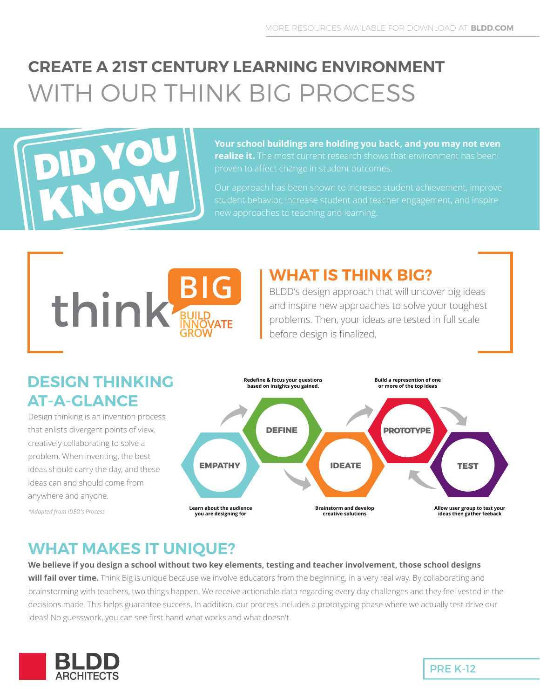# **CREATE A 21ST CENTURY LEARNING ENVIRONMENT** WITH OUR THINK BIG PROCESS



**Your school buildings are holding you back, and you may not even realize it.** The most current research shows that environment has been

Our approach has been shown to increase student achievement, improve



#### **WHAT IS THINK BIG?**

BLDD's design approach that will uncover big ideas and inspire new approaches to solve your toughest problems. Then, your ideas are tested in full scale before design is finalized.

#### **DESIGN THINKING AT-A-GLANCE**

Design thinking is an invention process that enlists divergent points of view, creatively collaborating to solve a problem. When inventing, the best ideas should carry the day, and these ideas can and should come from anywhere and anyone.

*\*Adapted from IDEO's Process*



### **WHAT MAKES IT UNIQUE?**

**We believe if you design a school without two key elements, testing and teacher involvement, those school designs** 

will fail over time. Think Big is unique because we involve educators from the beginning, in a very real way. By collaborating and brainstorming with teachers, two things happen. We receive actionable data regarding every day challenges and they feel vested in the decisions made. This helps guarantee success. In addition, our process includes a prototyping phase where we actually test drive our ideas! No guesswork, you can see first hand what works and what doesn't.